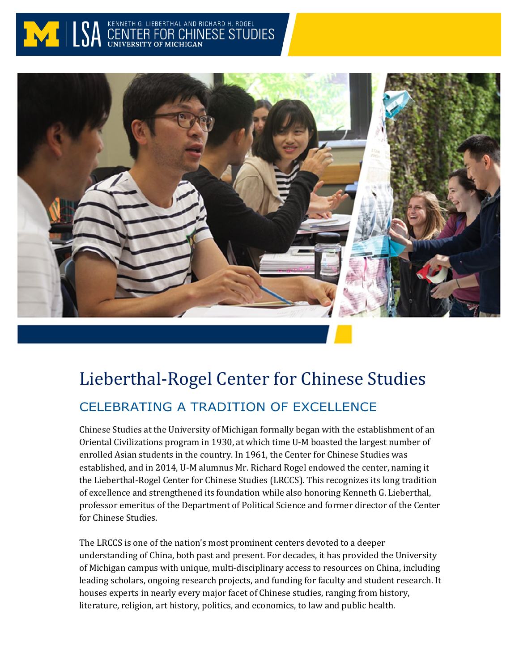



# Lieberthal-Rogel Center for Chinese Studies CELEBRATING A TRADITION OF EXCELLENCE

Chinese Studies at the University of Michigan formally began with the establishment of an Oriental Civilizations program in 1930, at which time U-M boasted the largest number of enrolled Asian students in the country. In 1961, the Center for Chinese Studies was established, and in 2014, U-M alumnus Mr. Richard Rogel endowed the center, naming it the Lieberthal-Rogel Center for Chinese Studies (LRCCS). This recognizes its long tradition of excellence and strengthened its foundation while also honoring Kenneth G. Lieberthal, professor emeritus of the Department of Political Science and former director of the Center for Chinese Studies.

The LRCCS is one of the nation's most prominent centers devoted to a deeper understanding of China, both past and present. For decades, it has provided the University of Michigan campus with unique, multi-disciplinary access to resources on China, including leading scholars, ongoing research projects, and funding for faculty and student research. It houses experts in nearly every major facet of Chinese studies, ranging from history, literature, religion, art history, politics, and economics, to law and public health.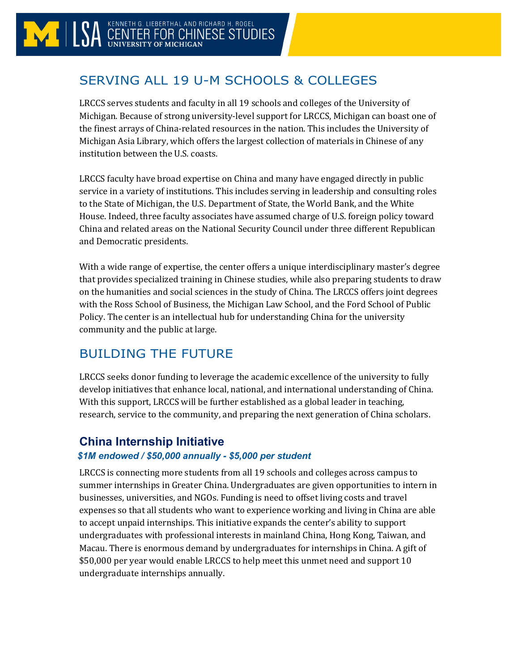# SERVING ALL 19 U-M SCHOOLS & COLLEGES

LRCCS serves students and faculty in all 19 schools and colleges of the University of Michigan. Because of strong university-level support for LRCCS, Michigan can boast one of the finest arrays of China-related resources in the nation. This includes the University of Michigan Asia Library, which offers the largest collection of materials in Chinese of any institution between the U.S. coasts.

LRCCS faculty have broad expertise on China and many have engaged directly in public service in a variety of institutions. This includes serving in leadership and consulting roles to the State of Michigan, the U.S. Department of State, the World Bank, and the White House. Indeed, three faculty associates have assumed charge of U.S. foreign policy toward China and related areas on the National Security Council under three different Republican and Democratic presidents.

With a wide range of expertise, the center offers a unique interdisciplinary master's degree that provides specialized training in Chinese studies, while also preparing students to draw on the humanities and social sciences in the study of China. The LRCCS offers joint degrees with the Ross School of Business, the Michigan Law School, and the Ford School of Public Policy. The center is an intellectual hub for understanding China for the university community and the public at large.

# BUILDING THE FUTURE

LRCCS seeks donor funding to leverage the academic excellence of the university to fully develop initiatives that enhance local, national, and international understanding of China. With this support, LRCCS will be further established as a global leader in teaching, research, service to the community, and preparing the next generation of China scholars.

# **China Internship Initiative**

#### *\$1M endowed / \$50,000 annually - \$5,000 per student*

LRCCS is connecting more students from all 19 schools and colleges across campus to summer internships in Greater China. Undergraduates are given opportunities to intern in businesses, universities, and NGOs. Funding is need to offset living costs and travel expenses so that all students who want to experience working and living in China are able to accept unpaid internships. This initiative expands the center's ability to support undergraduates with professional interests in mainland China, Hong Kong, Taiwan, and Macau. There is enormous demand by undergraduates for internships in China. A gift of \$50,000 per year would enable LRCCS to help meet this unmet need and support 10 undergraduate internships annually.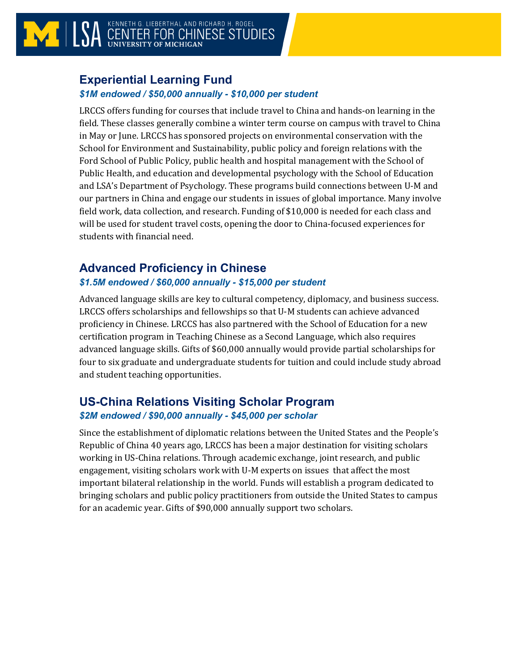# **Experiential Learning Fund**

#### *\$1M endowed / \$50,000 annually - \$10,000 per student*

LRCCS offers funding for courses that include travel to China and hands-on learning in the field. These classes generally combine a winter term course on campus with travel to China in May or June. LRCCS has sponsored projects on environmental conservation with the School for Environment and Sustainability, public policy and foreign relations with the Ford School of Public Policy, public health and hospital management with the School of Public Health, and education and developmental psychology with the School of Education and LSA's Department of Psychology. These programs build connections between U-M and our partners in China and engage our students in issues of global importance. Many involve field work, data collection, and research. Funding of \$10,000 is needed for each class and will be used for student travel costs, opening the door to China-focused experiences for students with financial need.

# **Advanced Proficiency in Chinese**

#### *\$1.5M endowed / \$60,000 annually - \$15,000 per student*

Advanced language skills are key to cultural competency, diplomacy, and business success. LRCCS offers scholarships and fellowships so that U-M students can achieve advanced proficiency in Chinese. LRCCS has also partnered with the School of Education for a new certification program in Teaching Chinese as a Second Language, which also requires advanced language skills. Gifts of \$60,000 annually would provide partial scholarships for four to six graduate and undergraduate students for tuition and could include study abroad and student teaching opportunities.

### **US-China Relations Visiting Scholar Program** *\$2M endowed / \$90,000 annually - \$45,000 per scholar*

Since the establishment of diplomatic relations between the United States and the People's Republic of China 40 years ago, LRCCS has been a major destination for visiting scholars working in US-China relations. Through academic exchange, joint research, and public engagement, visiting scholars work with U-M experts on issues that affect the most important bilateral relationship in the world. Funds will establish a program dedicated to bringing scholars and public policy practitioners from outside the United States to campus for an academic year. Gifts of \$90,000 annually support two scholars.